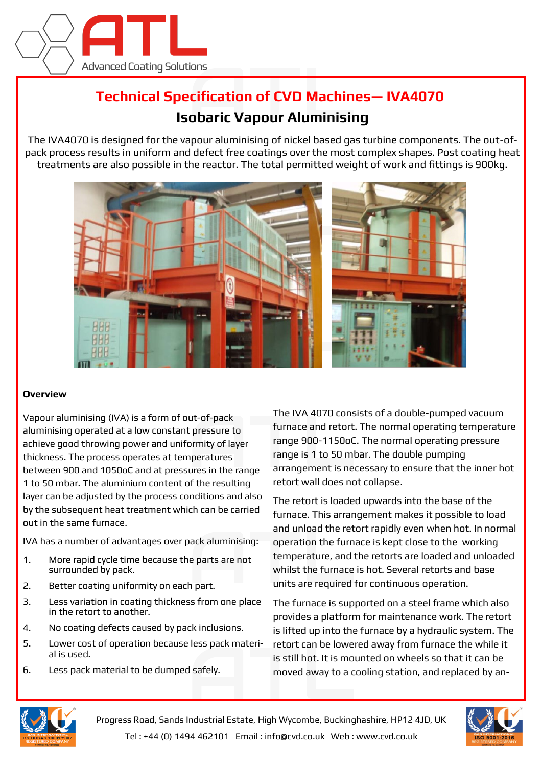

## **Technical Specification of CVD Machines— IVA4070**

## **Isobaric Vapour Aluminising**

The IVA4070 is designed for the vapour aluminising of nickel based gas turbine components. The out-ofpack process results in uniform and defect free coatings over the most complex shapes. Post coating heat treatments are also possible in the reactor. The total permitted weight of work and fittings is 900kg.



## **Overview**

Vapour aluminising (IVA) is a form of out-of-pack aluminising operated at a low constant pressure to achieve good throwing power and uniformity of layer thickness. The process operates at temperatures between 900 and 1050oC and at pressures in the range 1 to 50 mbar. The aluminium content of the resulting layer can be adjusted by the process conditions and also by the subsequent heat treatment which can be carried out in the same furnace.

IVA has a number of advantages over pack aluminising:

- 1. More rapid cycle time because the parts are not surrounded by pack.
- 2. Better coating uniformity on each part.
- 3. Less variation in coating thickness from one place in the retort to another.
- 4. No coating defects caused by pack inclusions.
- 5. Lower cost of operation because less pack material is used.
- 6. Less pack material to be dumped safely.

The IVA 4070 consists of a double-pumped vacuum furnace and retort. The normal operating temperature range 900-1150oC. The normal operating pressure range is 1 to 50 mbar. The double pumping arrangement is necessary to ensure that the inner hot retort wall does not collapse.

The retort is loaded upwards into the base of the furnace. This arrangement makes it possible to load and unload the retort rapidly even when hot. In normal operation the furnace is kept close to the working temperature, and the retorts are loaded and unloaded whilst the furnace is hot. Several retorts and base units are required for continuous operation.

The furnace is supported on a steel frame which also provides a platform for maintenance work. The retort is lifted up into the furnace by a hydraulic system. The retort can be lowered away from furnace the while it is still hot. It is mounted on wheels so that it can be moved away to a cooling station, and replaced by an-



Progress Road, Sands Industrial Estate, High Wycombe, Buckinghashire, HP12 4JD, UK Tel : +44 (0) 1494 462101 Email : info@cvd.co.uk Web : www.cvd.co.uk